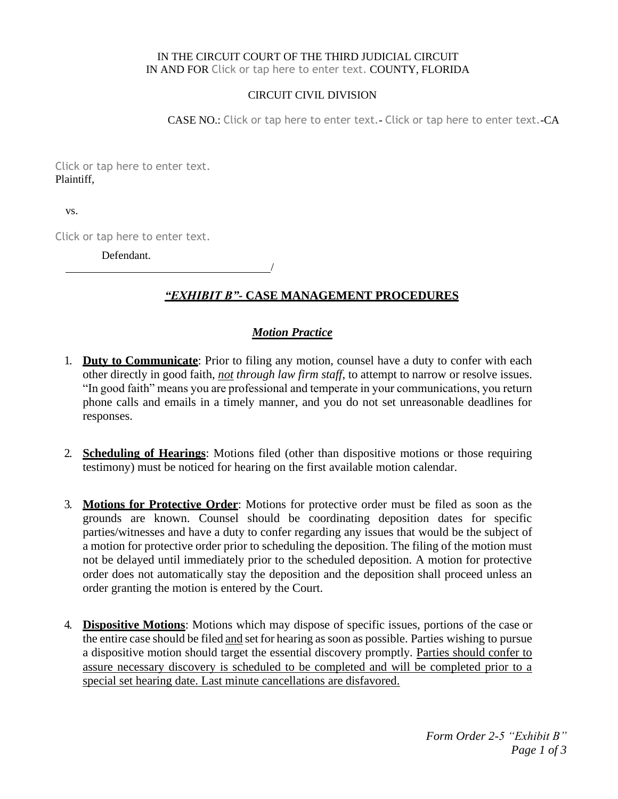#### IN THE CIRCUIT COURT OF THE THIRD JUDICIAL CIRCUIT IN AND FOR Click or tap here to enter text. COUNTY, FLORIDA

#### CIRCUIT CIVIL DIVISION

CASE NO.: Click or tap here to enter text.- Click or tap here to enter text.-CA

Click or tap here to enter text. Plaintiff,

vs.

Click or tap here to enter text.

Defendant.

# *"EXHIBIT B"-* **CASE MANAGEMENT PROCEDURES**

## *Motion Practice*

/

- 1. **Duty to Communicate**: Prior to filing any motion, counsel have a duty to confer with each other directly in good faith, *not through law firm staff*, to attempt to narrow or resolve issues. "In good faith" means you are professional and temperate in your communications, you return phone calls and emails in a timely manner, and you do not set unreasonable deadlines for responses.
- 2. **Scheduling of Hearings**: Motions filed (other than dispositive motions or those requiring testimony) must be noticed for hearing on the first available motion calendar.
- 3. **Motions for Protective Order**: Motions for protective order must be filed as soon as the grounds are known. Counsel should be coordinating deposition dates for specific parties/witnesses and have a duty to confer regarding any issues that would be the subject of a motion for protective order prior to scheduling the deposition. The filing of the motion must not be delayed until immediately prior to the scheduled deposition. A motion for protective order does not automatically stay the deposition and the deposition shall proceed unless an order granting the motion is entered by the Court.
- 4. **Dispositive Motions**: Motions which may dispose of specific issues, portions of the case or the entire case should be filed and set for hearing assoon as possible. Parties wishing to pursue a dispositive motion should target the essential discovery promptly. Parties should confer to assure necessary discovery is scheduled to be completed and will be completed prior to a special set hearing date. Last minute cancellations are disfavored.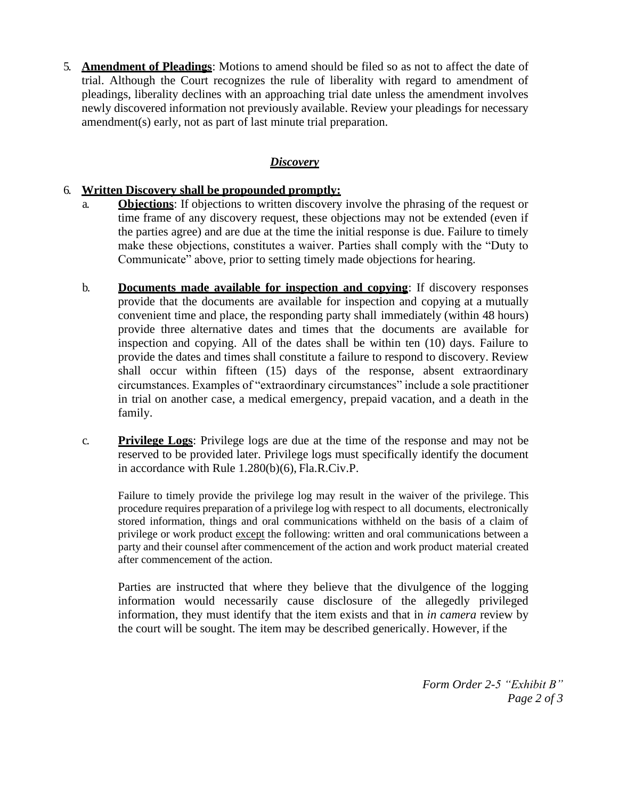5. **Amendment of Pleadings**: Motions to amend should be filed so as not to affect the date of trial. Although the Court recognizes the rule of liberality with regard to amendment of pleadings, liberality declines with an approaching trial date unless the amendment involves newly discovered information not previously available. Review your pleadings for necessary amendment(s) early, not as part of last minute trial preparation.

### *Discovery*

### 6. **Written Discovery shall be propounded promptly:**

- a. **Objections**: If objections to written discovery involve the phrasing of the request or time frame of any discovery request, these objections may not be extended (even if the parties agree) and are due at the time the initial response is due. Failure to timely make these objections, constitutes a waiver. Parties shall comply with the "Duty to Communicate" above, prior to setting timely made objections for hearing.
- b. **Documents made available for inspection and copying**: If discovery responses provide that the documents are available for inspection and copying at a mutually convenient time and place, the responding party shall immediately (within 48 hours) provide three alternative dates and times that the documents are available for inspection and copying. All of the dates shall be within ten (10) days. Failure to provide the dates and times shall constitute a failure to respond to discovery. Review shall occur within fifteen (15) days of the response, absent extraordinary circumstances. Examples of "extraordinary circumstances" include a sole practitioner in trial on another case, a medical emergency, prepaid vacation, and a death in the family.
- c. **Privilege Logs**: Privilege logs are due at the time of the response and may not be reserved to be provided later. Privilege logs must specifically identify the document in accordance with Rule 1.280(b)(6), Fla.R.Civ.P.

Failure to timely provide the privilege log may result in the waiver of the privilege. This procedure requires preparation of a privilege log with respect to all documents, electronically stored information, things and oral communications withheld on the basis of a claim of privilege or work product except the following: written and oral communications between a party and their counsel after commencement of the action and work product material created after commencement of the action.

Parties are instructed that where they believe that the divulgence of the logging information would necessarily cause disclosure of the allegedly privileged information, they must identify that the item exists and that in *in camera* review by the court will be sought. The item may be described generically. However, if the

> *Form Order 2-5 "Exhibit B" Page 2 of 3*